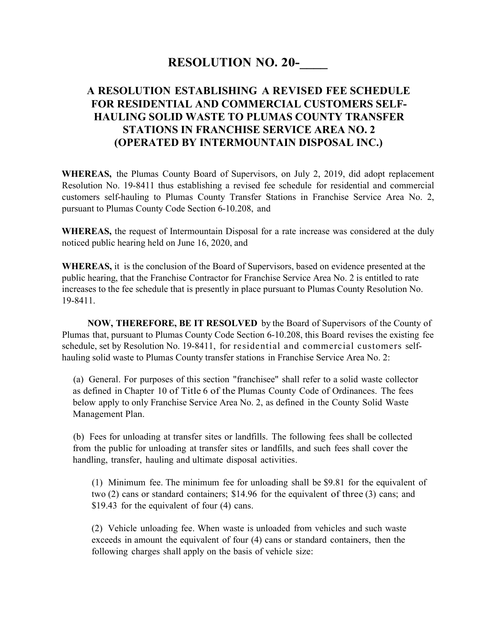## **RESOLUTION NO. 20-**

## **A RESOLUTION ESTABLISHING A REVISED FEE SCHEDULE FOR RESIDENTIAL AND COMMERCIAL CUSTOMERS SELF-HAULING SOLID WASTE TO PLUMAS COUNTY TRANSFER STATIONS IN FRANCHISE SERVICE AREA NO. 2 (OPERATED BY INTERMOUNTAIN DISPOSAL INC.)**

**WHEREAS,** the Plumas County Board of Supervisors, on July 2, 2019, did adopt replacement Resolution No. 19-8411 thus establishing a revised fee schedule for residential and commercial customers self-hauling to Plumas County Transfer Stations in Franchise Service Area No. 2, pursuant to Plumas County Code Section 6-10.208, and

**WHEREAS,** the request of Intermountain Disposal for a rate increase was considered at the duly noticed public hearing held on June 16, 2020, and

**WHEREAS,** it is the conclusion of the Board of Supervisors, based on evidence presented at the public hearing, that the Franchise Contractor for Franchise Service Area No. 2 is entitled to rate increases to the fee schedule that is presently in place pursuant to Plumas County Resolution No. 19-8411.

 **NOW, THEREFORE, BE IT RESOLVED** by the Board of Supervisors of the County of Plumas that, pursuant to Plumas County Code Section 6-10.208, this Board revises the existing fee schedule, set by Resolution No. 19-8411, for residential and commercial customers selfhauling solid waste to Plumas County transfer stations in Franchise Service Area No. 2:

(a) General. For purposes of this section "franchisee" shall refer to a solid waste collector as defined in Chapter 10 of Title 6 of the Plumas County Code of Ordinances. The fees below apply to only Franchise Service Area No. 2, as defined in the County Solid Waste Management Plan.

(b) Fees for unloading at transfer sites or landfills. The following fees shall be collected from the public for unloading at transfer sites or landfills, and such fees shall cover the handling, transfer, hauling and ultimate disposal activities.

(1) Minimum fee. The minimum fee for unloading shall be \$9.81 for the equivalent of two (2) cans or standard containers; \$14.96 for the equivalent of three (3) cans; and \$19.43 for the equivalent of four (4) cans.

(2) Vehicle unloading fee. When waste is unloaded from vehicles and such waste exceeds in amount the equivalent of four (4) cans or standard containers, then the following charges shall apply on the basis of vehicle size: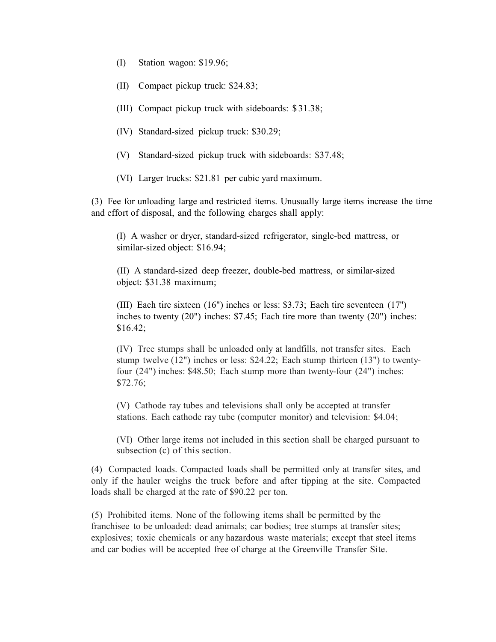- (I) Station wagon: \$19.96;
- (II) Compact pickup truck: \$24.83;
- (III) Compact pickup truck with sideboards: \$ 31.38;
- (IV) Standard-sized pickup truck: \$30.29;
- (V) Standard-sized pickup truck with sideboards: \$37.48;
- (VI) Larger trucks: \$21.81 per cubic yard maximum.

(3) Fee for unloading large and restricted items. Unusually large items increase the time and effort of disposal, and the following charges shall apply:

(I) A washer or dryer, standard-sized refrigerator, single-bed mattress, or similar-sized object: \$16.94;

(II) A standard-sized deep freezer, double-bed mattress, or similar-sized object: \$31.38 maximum;

(III) Each tire sixteen (16") inches or less: \$3.73; Each tire seventeen (17'') inches to twenty (20") inches: \$7.45; Each tire more than twenty (20") inches: \$16.42;

(IV) Tree stumps shall be unloaded only at landfills, not transfer sites. Each stump twelve (12") inches or less: \$24.22; Each stump thirteen (13") to twentyfour (24") inches: \$48.50; Each stump more than twenty-four (24") inches: \$72.76;

(V) Cathode ray tubes and televisions shall only be accepted at transfer stations. Each cathode ray tube (computer monitor) and television: \$4.04;

(VI) Other large items not included in this section shall be charged pursuant to subsection (c) of this section.

(4) Compacted loads. Compacted loads shall be permitted only at transfer sites, and only if the hauler weighs the truck before and after tipping at the site. Compacted loads shall be charged at the rate of \$90.22 per ton.

(5) Prohibited items. None of the following items shall be permitted by the franchisee to be unloaded: dead animals; car bodies; tree stumps at transfer sites; explosives; toxic chemicals or any hazardous waste materials; except that steel items and car bodies will be accepted free of charge at the Greenville Transfer Site.